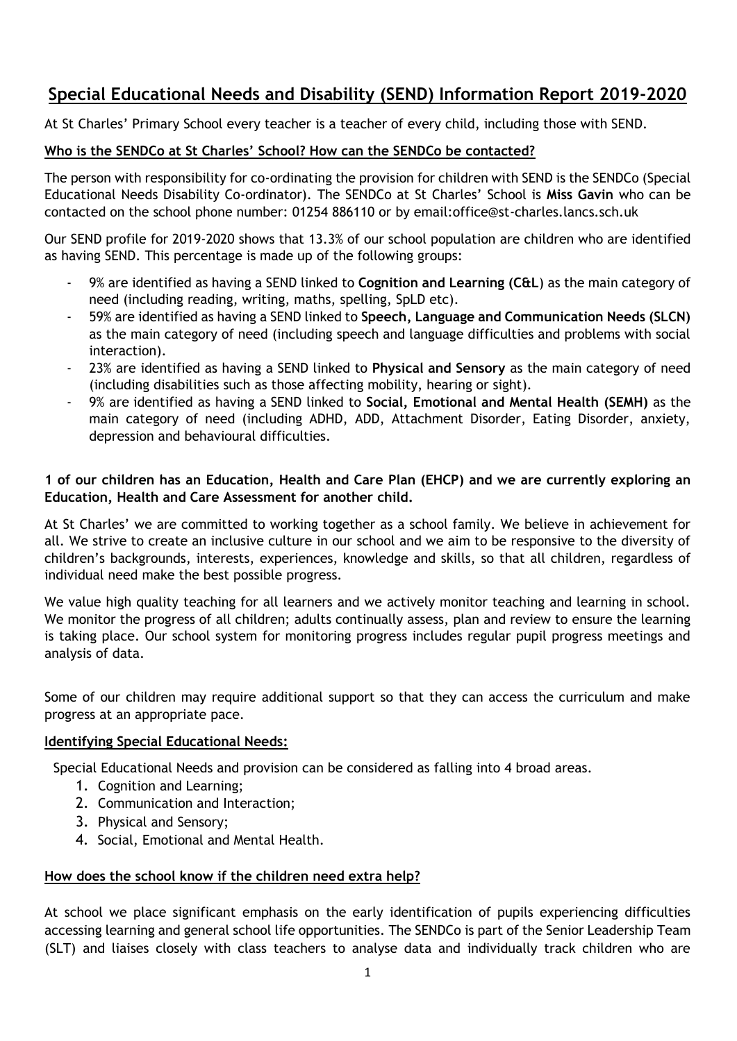# **Special Educational Needs and Disability (SEND) Information Report 2019-2020**

At St Charles' Primary School every teacher is a teacher of every child, including those with SEND.

## **Who is the SENDCo at St Charles' School? How can the SENDCo be contacted?**

The person with responsibility for co-ordinating the provision for children with SEND is the SENDCo (Special Educational Needs Disability Co-ordinator). The SENDCo at St Charles' School is **Miss Gavin** who can be contacted on the school phone number: 01254 886110 or by email:office@st-charles.lancs.sch.uk

Our SEND profile for 2019-2020 shows that 13.3% of our school population are children who are identified as having SEND. This percentage is made up of the following groups:

- 9% are identified as having a SEND linked to **Cognition and Learning (C&L**) as the main category of need (including reading, writing, maths, spelling, SpLD etc).
- 59% are identified as having a SEND linked to **Speech, Language and Communication Needs (SLCN)**  as the main category of need (including speech and language difficulties and problems with social interaction).
- 23% are identified as having a SEND linked to **Physical and Sensory** as the main category of need (including disabilities such as those affecting mobility, hearing or sight).
- 9% are identified as having a SEND linked to **Social, Emotional and Mental Health (SEMH)** as the main category of need (including ADHD, ADD, Attachment Disorder, Eating Disorder, anxiety, depression and behavioural difficulties.

## **1 of our children has an Education, Health and Care Plan (EHCP) and we are currently exploring an Education, Health and Care Assessment for another child.**

At St Charles' we are committed to working together as a school family. We believe in achievement for all. We strive to create an inclusive culture in our school and we aim to be responsive to the diversity of children's backgrounds, interests, experiences, knowledge and skills, so that all children, regardless of individual need make the best possible progress.

We value high quality teaching for all learners and we actively monitor teaching and learning in school. We monitor the progress of all children; adults continually assess, plan and review to ensure the learning is taking place. Our school system for monitoring progress includes regular pupil progress meetings and analysis of data.

Some of our children may require additional support so that they can access the curriculum and make progress at an appropriate pace.

## **Identifying Special Educational Needs:**

Special Educational Needs and provision can be considered as falling into 4 broad areas.

- 1. Cognition and Learning;
- 2. Communication and Interaction;
- 3. Physical and Sensory;
- 4. Social, Emotional and Mental Health.

## **How does the school know if the children need extra help?**

At school we place significant emphasis on the early identification of pupils experiencing difficulties accessing learning and general school life opportunities. The SENDCo is part of the Senior Leadership Team (SLT) and liaises closely with class teachers to analyse data and individually track children who are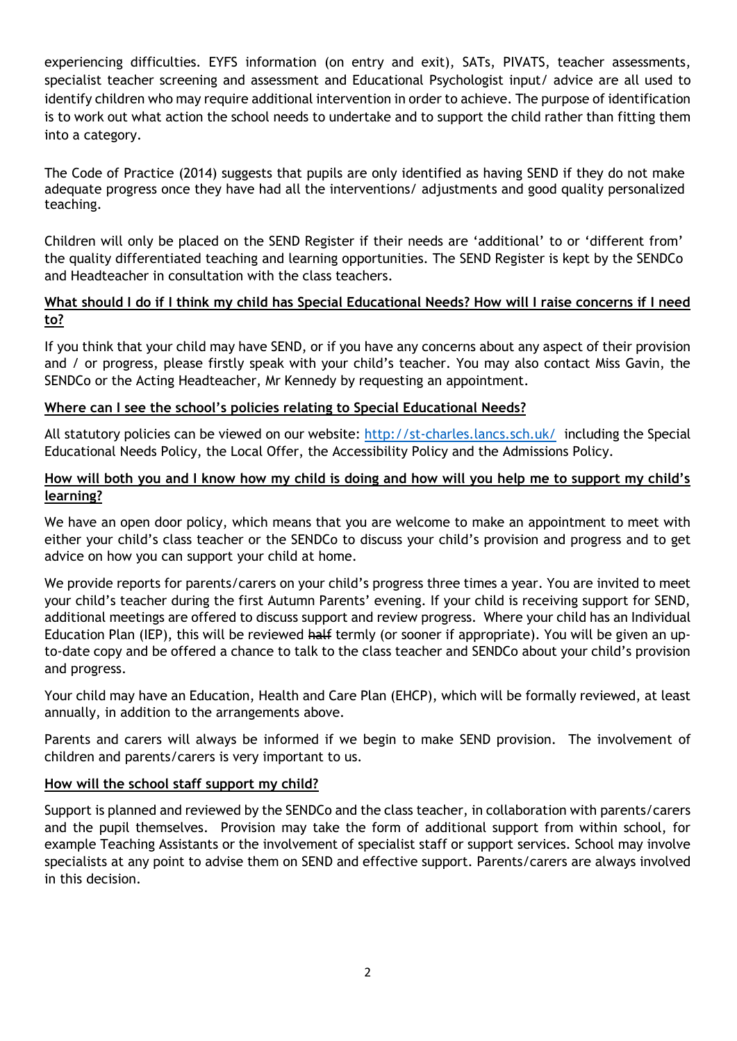experiencing difficulties. EYFS information (on entry and exit), SATs, PIVATS, teacher assessments, specialist teacher screening and assessment and Educational Psychologist input/ advice are all used to identify children who may require additional intervention in order to achieve. The purpose of identification is to work out what action the school needs to undertake and to support the child rather than fitting them into a category.

The Code of Practice (2014) suggests that pupils are only identified as having SEND if they do not make adequate progress once they have had all the interventions/ adjustments and good quality personalized teaching.

Children will only be placed on the SEND Register if their needs are 'additional' to or 'different from' the quality differentiated teaching and learning opportunities. The SEND Register is kept by the SENDCo and Headteacher in consultation with the class teachers.

## **What should I do if I think my child has Special Educational Needs? How will I raise concerns if I need to?**

If you think that your child may have SEND, or if you have any concerns about any aspect of their provision and / or progress, please firstly speak with your child's teacher. You may also contact Miss Gavin, the SENDCo or the Acting Headteacher, Mr Kennedy by requesting an appointment.

## **Where can I see the school's policies relating to Special Educational Needs?**

All statutory policies can be viewed on our website:<http://st-charles.lancs.sch.uk/> including the Special Educational Needs Policy, the Local Offer, the Accessibility Policy and the Admissions Policy.

### **How will both you and I know how my child is doing and how will you help me to support my child's learning?**

We have an open door policy, which means that you are welcome to make an appointment to meet with either your child's class teacher or the SENDCo to discuss your child's provision and progress and to get advice on how you can support your child at home.

We provide reports for parents/carers on your child's progress three times a year. You are invited to meet your child's teacher during the first Autumn Parents' evening. If your child is receiving support for SEND, additional meetings are offered to discuss support and review progress. Where your child has an Individual Education Plan (IEP), this will be reviewed half termly (or sooner if appropriate). You will be given an upto-date copy and be offered a chance to talk to the class teacher and SENDCo about your child's provision and progress.

Your child may have an Education, Health and Care Plan (EHCP), which will be formally reviewed, at least annually, in addition to the arrangements above.

Parents and carers will always be informed if we begin to make SEND provision. The involvement of children and parents/carers is very important to us.

#### **How will the school staff support my child?**

Support is planned and reviewed by the SENDCo and the class teacher, in collaboration with parents/carers and the pupil themselves. Provision may take the form of additional support from within school, for example Teaching Assistants or the involvement of specialist staff or support services. School may involve specialists at any point to advise them on SEND and effective support. Parents/carers are always involved in this decision.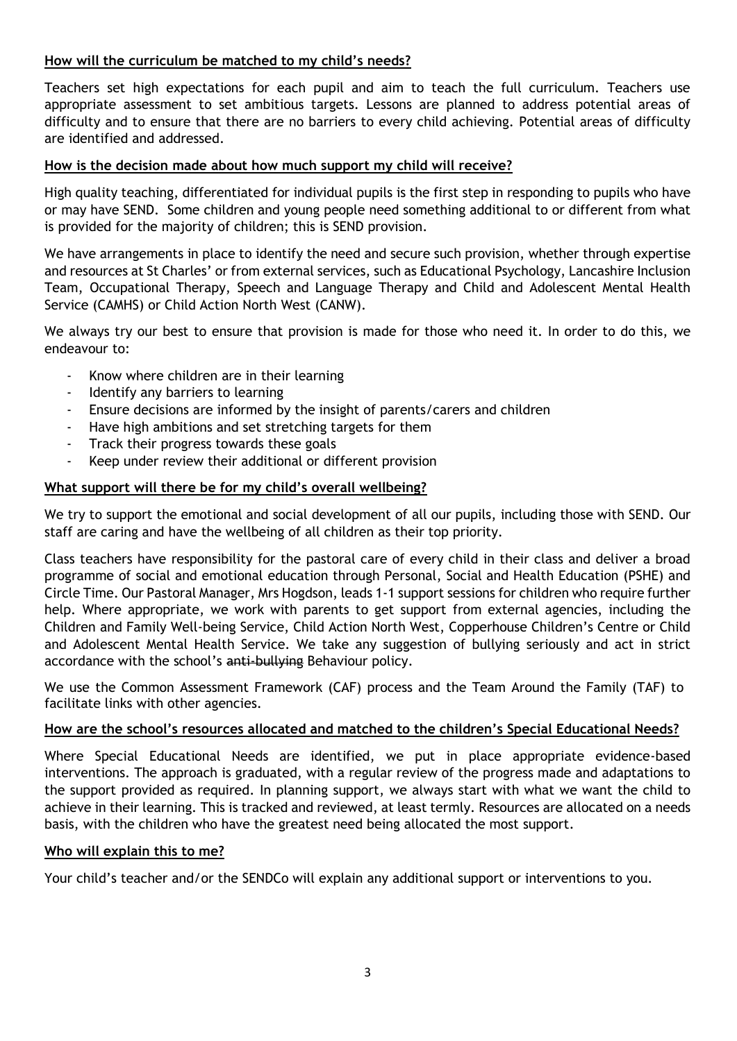## **How will the curriculum be matched to my child's needs?**

Teachers set high expectations for each pupil and aim to teach the full curriculum. Teachers use appropriate assessment to set ambitious targets. Lessons are planned to address potential areas of difficulty and to ensure that there are no barriers to every child achieving. Potential areas of difficulty are identified and addressed.

## **How is the decision made about how much support my child will receive?**

High quality teaching, differentiated for individual pupils is the first step in responding to pupils who have or may have SEND. Some children and young people need something additional to or different from what is provided for the majority of children; this is SEND provision.

We have arrangements in place to identify the need and secure such provision, whether through expertise and resources at St Charles' or from external services, such as Educational Psychology, Lancashire Inclusion Team, Occupational Therapy, Speech and Language Therapy and Child and Adolescent Mental Health Service (CAMHS) or Child Action North West (CANW).

We always try our best to ensure that provision is made for those who need it. In order to do this, we endeavour to:

- Know where children are in their learning
- Identify any barriers to learning
- Ensure decisions are informed by the insight of parents/carers and children
- Have high ambitions and set stretching targets for them
- Track their progress towards these goals
- Keep under review their additional or different provision

#### **What support will there be for my child's overall wellbeing?**

We try to support the emotional and social development of all our pupils, including those with SEND. Our staff are caring and have the wellbeing of all children as their top priority.

Class teachers have responsibility for the pastoral care of every child in their class and deliver a broad programme of social and emotional education through Personal, Social and Health Education (PSHE) and Circle Time. Our Pastoral Manager, Mrs Hogdson, leads 1-1 support sessions for children who require further help. Where appropriate, we work with parents to get support from external agencies, including the Children and Family Well-being Service, Child Action North West, Copperhouse Children's Centre or Child and Adolescent Mental Health Service. We take any suggestion of bullying seriously and act in strict accordance with the school's anti-bullying Behaviour policy.

We use the Common Assessment Framework (CAF) process and the Team Around the Family (TAF) to facilitate links with other agencies.

#### **How are the school's resources allocated and matched to the children's Special Educational Needs?**

Where Special Educational Needs are identified, we put in place appropriate evidence-based interventions. The approach is graduated, with a regular review of the progress made and adaptations to the support provided as required. In planning support, we always start with what we want the child to achieve in their learning. This is tracked and reviewed, at least termly. Resources are allocated on a needs basis, with the children who have the greatest need being allocated the most support.

#### **Who will explain this to me?**

Your child's teacher and/or the SENDCo will explain any additional support or interventions to you.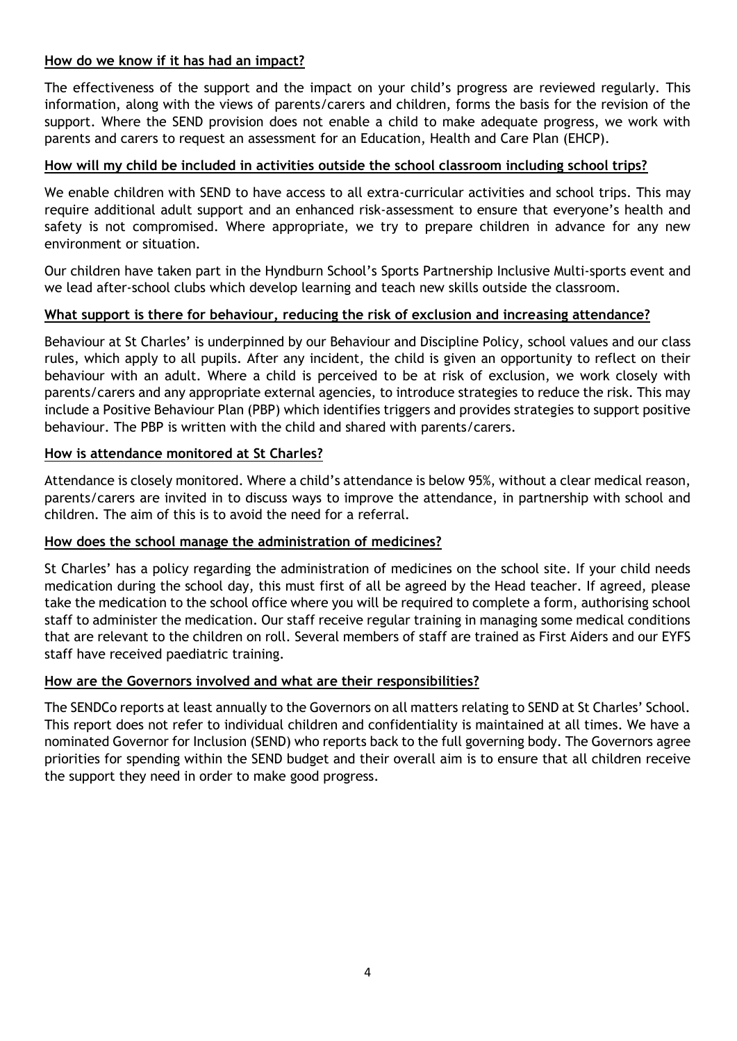## **How do we know if it has had an impact?**

The effectiveness of the support and the impact on your child's progress are reviewed regularly. This information, along with the views of parents/carers and children, forms the basis for the revision of the support. Where the SEND provision does not enable a child to make adequate progress, we work with parents and carers to request an assessment for an Education, Health and Care Plan (EHCP).

## **How will my child be included in activities outside the school classroom including school trips?**

We enable children with SEND to have access to all extra-curricular activities and school trips. This may require additional adult support and an enhanced risk-assessment to ensure that everyone's health and safety is not compromised. Where appropriate, we try to prepare children in advance for any new environment or situation.

Our children have taken part in the Hyndburn School's Sports Partnership Inclusive Multi-sports event and we lead after-school clubs which develop learning and teach new skills outside the classroom.

#### **What support is there for behaviour, reducing the risk of exclusion and increasing attendance?**

Behaviour at St Charles' is underpinned by our Behaviour and Discipline Policy, school values and our class rules, which apply to all pupils. After any incident, the child is given an opportunity to reflect on their behaviour with an adult. Where a child is perceived to be at risk of exclusion, we work closely with parents/carers and any appropriate external agencies, to introduce strategies to reduce the risk. This may include a Positive Behaviour Plan (PBP) which identifies triggers and provides strategies to support positive behaviour. The PBP is written with the child and shared with parents/carers.

#### **How is attendance monitored at St Charles?**

Attendance is closely monitored. Where a child's attendance is below 95%, without a clear medical reason, parents/carers are invited in to discuss ways to improve the attendance, in partnership with school and children. The aim of this is to avoid the need for a referral.

#### **How does the school manage the administration of medicines?**

St Charles' has a policy regarding the administration of medicines on the school site. If your child needs medication during the school day, this must first of all be agreed by the Head teacher. If agreed, please take the medication to the school office where you will be required to complete a form, authorising school staff to administer the medication. Our staff receive regular training in managing some medical conditions that are relevant to the children on roll. Several members of staff are trained as First Aiders and our EYFS staff have received paediatric training.

#### **How are the Governors involved and what are their responsibilities?**

The SENDCo reports at least annually to the Governors on all matters relating to SEND at St Charles' School. This report does not refer to individual children and confidentiality is maintained at all times. We have a nominated Governor for Inclusion (SEND) who reports back to the full governing body. The Governors agree priorities for spending within the SEND budget and their overall aim is to ensure that all children receive the support they need in order to make good progress.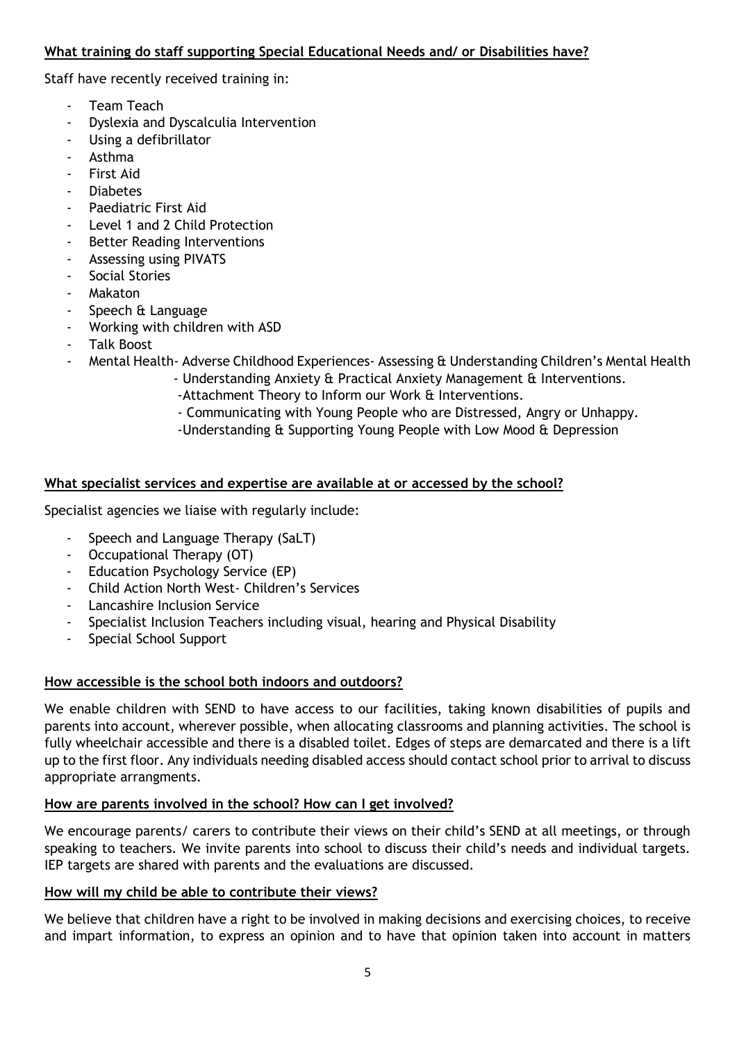## **What training do staff supporting Special Educational Needs and/ or Disabilities have?**

Staff have recently received training in:

- Team Teach
- Dyslexia and Dyscalculia Intervention
- Using a defibrillator
- Asthma
- First Aid
- **Diabetes**
- Paediatric First Aid
- Level 1 and 2 Child Protection
- Better Reading Interventions
- Assessing using PIVATS
- Social Stories
- **Makaton**
- Speech & Language
- Working with children with ASD
- Talk Boost
- Mental Health- Adverse Childhood Experiences- Assessing & Understanding Children's Mental Health
	- Understanding Anxiety & Practical Anxiety Management & Interventions.
		- -Attachment Theory to Inform our Work & Interventions.
		- Communicating with Young People who are Distressed, Angry or Unhappy.
		- -Understanding & Supporting Young People with Low Mood & Depression

#### **What specialist services and expertise are available at or accessed by the school?**

Specialist agencies we liaise with regularly include:

- Speech and Language Therapy (SaLT)
- Occupational Therapy (OT)
- Education Psychology Service (EP)
- Child Action North West- Children's Services
- Lancashire Inclusion Service
- Specialist Inclusion Teachers including visual, hearing and Physical Disability
- Special School Support

## **How accessible is the school both indoors and outdoors?**

We enable children with SEND to have access to our facilities, taking known disabilities of pupils and parents into account, wherever possible, when allocating classrooms and planning activities. The school is fully wheelchair accessible and there is a disabled toilet. Edges of steps are demarcated and there is a lift up to the first floor. Any individuals needing disabled access should contact school prior to arrival to discuss appropriate arrangments.

#### **How are parents involved in the school? How can I get involved?**

We encourage parents/ carers to contribute their views on their child's SEND at all meetings, or through speaking to teachers. We invite parents into school to discuss their child's needs and individual targets. IEP targets are shared with parents and the evaluations are discussed.

#### **How will my child be able to contribute their views?**

We believe that children have a right to be involved in making decisions and exercising choices, to receive and impart information, to express an opinion and to have that opinion taken into account in matters